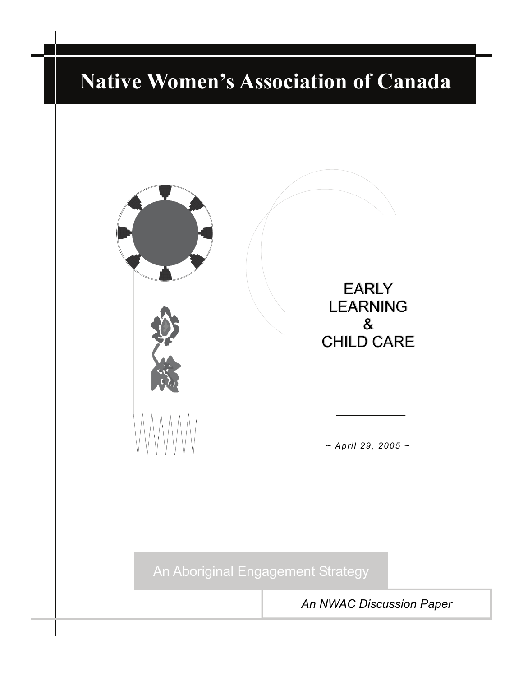# **[Native Women's Association of Canada](#page-1-0)**



EARLY EARLY LEARNING LEARNING & & CHILD CARE CHILD CARE

*~ April 29, 2005 ~* 

An Aboriginal Engagement Strategy

*An NWAC Discussion Paper*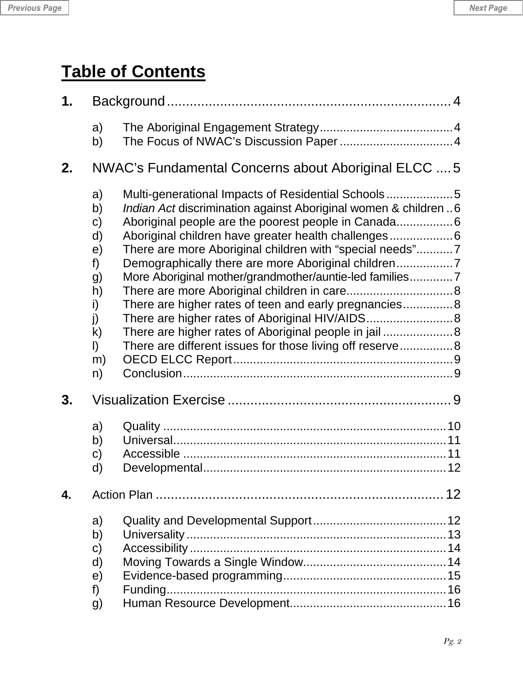<span id="page-1-0"></span>

| <b>Previous Page</b> | <b>Next Page</b> |  |  |
|----------------------|------------------|--|--|
|----------------------|------------------|--|--|

## **Table of Contents**

| 1 <sub>1</sub> |                                                                                                            |                                                                                                                                                                                                                                                                                                                                                                            |  |
|----------------|------------------------------------------------------------------------------------------------------------|----------------------------------------------------------------------------------------------------------------------------------------------------------------------------------------------------------------------------------------------------------------------------------------------------------------------------------------------------------------------------|--|
|                | a)<br>b)                                                                                                   |                                                                                                                                                                                                                                                                                                                                                                            |  |
| 2.             |                                                                                                            | NWAC's Fundamental Concerns about Aboriginal ELCC  5                                                                                                                                                                                                                                                                                                                       |  |
|                | a)<br>b)<br>$\mathsf{c})$<br>d)<br>e)<br>f)<br>g)<br>h)<br>i)<br>j)<br>$\mathsf{k}$<br>$\vert$<br>m)<br>n) | Multi-generational Impacts of Residential Schools5<br><i>Indian Act</i> discrimination against Aboriginal women & children 6<br>There are more Aboriginal children with "special needs"7<br>More Aboriginal mother/grandmother/auntie-led families7<br>There are higher rates of teen and early pregnancies 8<br>There are different issues for those living off reserve 8 |  |
| 3.             |                                                                                                            |                                                                                                                                                                                                                                                                                                                                                                            |  |
|                | a)<br>b)<br>$\mathsf{C}$<br>d)                                                                             |                                                                                                                                                                                                                                                                                                                                                                            |  |
| 4.             |                                                                                                            | 12                                                                                                                                                                                                                                                                                                                                                                         |  |
|                | a)<br>b)<br>$\mathsf{C}$<br>$\mathsf{d}$<br>e)<br>f)<br>g)                                                 |                                                                                                                                                                                                                                                                                                                                                                            |  |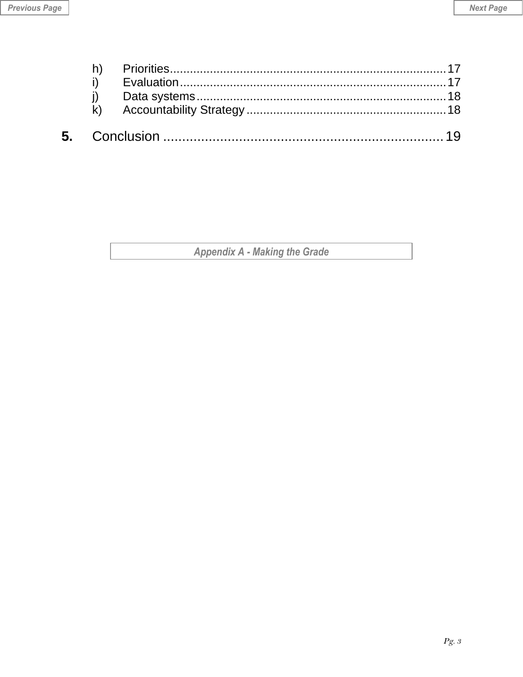Appendix A - Making the Grade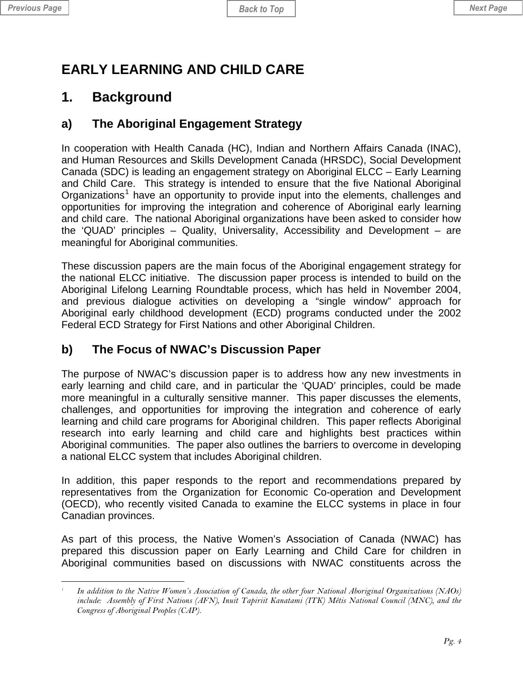<span id="page-3-0"></span>

## **EARLY LEARNING AND CHILD CARE**

## **1. Background**

## **a) The Aboriginal Engagement Strategy**

In cooperation with Health Canada (HC), Indian and Northern Affairs Canada (INAC), and Human Resources and Skills Development Canada (HRSDC), Social Development Canada (SDC) is leading an engagement strategy on Aboriginal ELCC – Early Learning and Child Care. This strategy is intended to ensure that the five National Aboriginal Organizations<sup>[1](#page-3-1)</sup> have an opportunity to provide input into the elements, challenges and opportunities for improving the integration and coherence of Aboriginal early learning and child care. The national Aboriginal organizations have been asked to consider how the 'QUAD' principles – Quality, Universality, Accessibility and Development – are meaningful for Aboriginal communities.

These discussion papers are the main focus of the Aboriginal engagement strategy for the national ELCC initiative. The discussion paper process is intended to build on the Aboriginal Lifelong Learning Roundtable process, which has held in November 2004, and previous dialogue activities on developing a "single window" approach for Aboriginal early childhood development (ECD) programs conducted under the 2002 Federal ECD Strategy for First Nations and other Aboriginal Children.

## **b) The Focus of NWAC's Discussion Paper**

The purpose of NWAC's discussion paper is to address how any new investments in early learning and child care, and in particular the 'QUAD' principles, could be made more meaningful in a culturally sensitive manner. This paper discusses the elements, challenges, and opportunities for improving the integration and coherence of early learning and child care programs for Aboriginal children. This paper reflects Aboriginal research into early learning and child care and highlights best practices within Aboriginal communities. The paper also outlines the barriers to overcome in developing a national ELCC system that includes Aboriginal children.

In addition, this paper responds to the report and recommendations prepared by representatives from the Organization for Economic Co-operation and Development (OECD), who recently visited Canada to examine the ELCC systems in place in four Canadian provinces.

As part of this process, the Native Women's Association of Canada (NWAC) has prepared this discussion paper on Early Learning and Child Care for children in Aboriginal communities based on discussions with NWAC constituents across the

<span id="page-3-1"></span> $\overline{a}$ *1 In addition to the Native Women's Association of Canada, the other four National Aboriginal Organizations (NAOs) include: Assembly of First Nations (AFN), Inuit Tapiriit Kanatami (ITK) Métis National Council (MNC), and the Congress of Aboriginal Peoples (CAP).*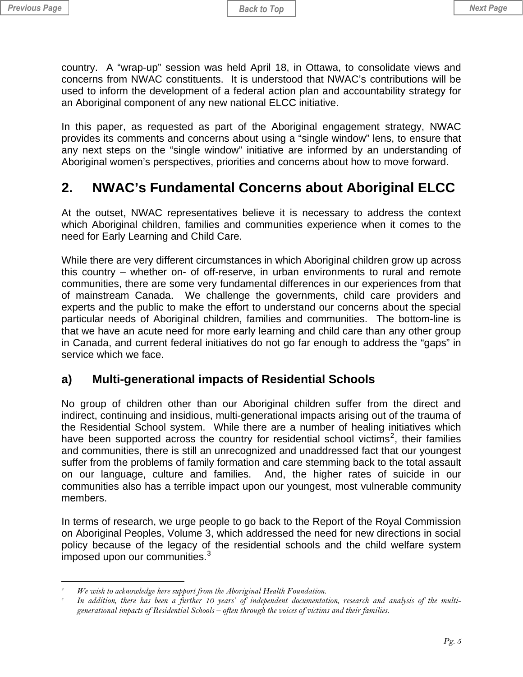<span id="page-4-0"></span>country. A "wrap-up" session was held April 18, in Ottawa, to consolidate views and concerns from NWAC constituents. It is understood that NWAC's contributions will be used to inform the development of a federal action plan and accountability strategy for an Aboriginal component of any new national ELCC initiative.

In this paper, as requested as part of the Aboriginal engagement strategy, NWAC provides its comments and concerns about using a "single window" lens, to ensure that any next steps on the "single window" initiative are informed by an understanding of Aboriginal women's perspectives, priorities and concerns about how to move forward.

## **2. NWAC's Fundamental Concerns about Aboriginal ELCC**

At the outset, NWAC representatives believe it is necessary to address the context which Aboriginal children, families and communities experience when it comes to the need for Early Learning and Child Care.

While there are very different circumstances in which Aboriginal children grow up across this country – whether on- of off-reserve, in urban environments to rural and remote communities, there are some very fundamental differences in our experiences from that of mainstream Canada. We challenge the governments, child care providers and experts and the public to make the effort to understand our concerns about the special particular needs of Aboriginal children, families and communities. The bottom-line is that we have an acute need for more early learning and child care than any other group in Canada, and current federal initiatives do not go far enough to address the "gaps" in service which we face.

#### **a) Multi-generational impacts of Residential Schools**

No group of children other than our Aboriginal children suffer from the direct and indirect, continuing and insidious, multi-generational impacts arising out of the trauma of the Residential School system. While there are a number of healing initiatives which have been supported across the country for residential school victims<sup>[2](#page-4-1)</sup>, their families and communities, there is still an unrecognized and unaddressed fact that our youngest suffer from the problems of family formation and care stemming back to the total assault on our language, culture and families. And, the higher rates of suicide in our communities also has a terrible impact upon our youngest, most vulnerable community members.

In terms of research, we urge people to go back to the Report of the Royal Commission on Aboriginal Peoples, Volume 3, which addressed the need for new directions in social policy because of the legacy of the residential schools and the child welfare system imposed upon our communities. $3$ 

 $\overline{a}$ *2 We wish to acknowledge here support from the Aboriginal Health Foundation.* 

<span id="page-4-2"></span><span id="page-4-1"></span>*In addition, there has been a further 10 years' of independent documentation, research and analysis of the multigenerational impacts of Residential Schools – often through the voices of victims and their families.*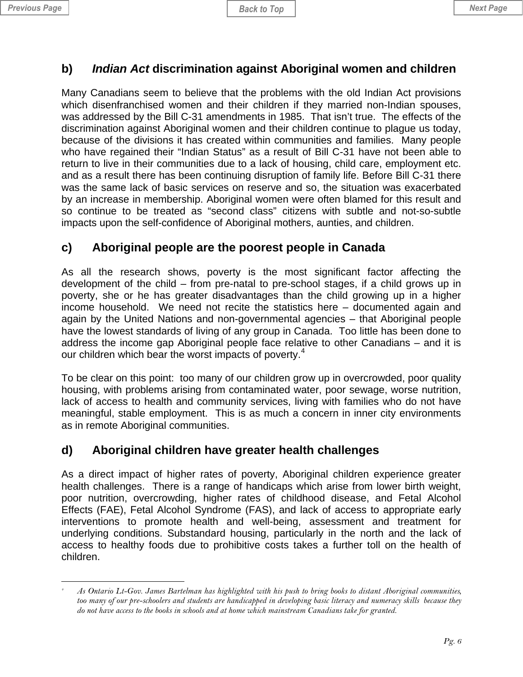#### <span id="page-5-0"></span>**b)** *Indian Act* **discrimination against Aboriginal women and children**

Many Canadians seem to believe that the problems with the old Indian Act provisions which disenfranchised women and their children if they married non-Indian spouses, was addressed by the Bill C-31 amendments in 1985. That isn't true. The effects of the discrimination against Aboriginal women and their children continue to plague us today, because of the divisions it has created within communities and families. Many people who have regained their "Indian Status" as a result of Bill C-31 have not been able to return to live in their communities due to a lack of housing, child care, employment etc. and as a result there has been continuing disruption of family life. Before Bill C-31 there was the same lack of basic services on reserve and so, the situation was exacerbated by an increase in membership. Aboriginal women were often blamed for this result and so continue to be treated as "second class" citizens with subtle and not-so-subtle impacts upon the self-confidence of Aboriginal mothers, aunties, and children.

#### **c) Aboriginal people are the poorest people in Canada**

As all the research shows, poverty is the most significant factor affecting the development of the child – from pre-natal to pre-school stages, if a child grows up in poverty, she or he has greater disadvantages than the child growing up in a higher income household. We need not recite the statistics here – documented again and again by the United Nations and non-governmental agencies – that Aboriginal people have the lowest standards of living of any group in Canada. Too little has been done to address the income gap Aboriginal people face relative to other Canadians – and it is our children which bear the worst impacts of poverty.<sup>[4](#page-5-1)</sup>

To be clear on this point: too many of our children grow up in overcrowded, poor quality housing, with problems arising from contaminated water, poor sewage, worse nutrition, lack of access to health and community services, living with families who do not have meaningful, stable employment. This is as much a concern in inner city environments as in remote Aboriginal communities.

#### **d) Aboriginal children have greater health challenges**

As a direct impact of higher rates of poverty, Aboriginal children experience greater health challenges. There is a range of handicaps which arise from lower birth weight, poor nutrition, overcrowding, higher rates of childhood disease, and Fetal Alcohol Effects (FAE), Fetal Alcohol Syndrome (FAS), and lack of access to appropriate early interventions to promote health and well-being, assessment and treatment for underlying conditions. Substandard housing, particularly in the north and the lack of access to healthy foods due to prohibitive costs takes a further toll on the health of children.

<span id="page-5-1"></span> $\overline{a}$ *4 As Ontario Lt-Gov. James Bartelman has highlighted with his push to bring books to distant Aboriginal communities, too many of our pre-schoolers and students are handicapped in developing basic literacy and numeracy skills because they do not have access to the books in schools and at home which mainstream Canadians take for granted.*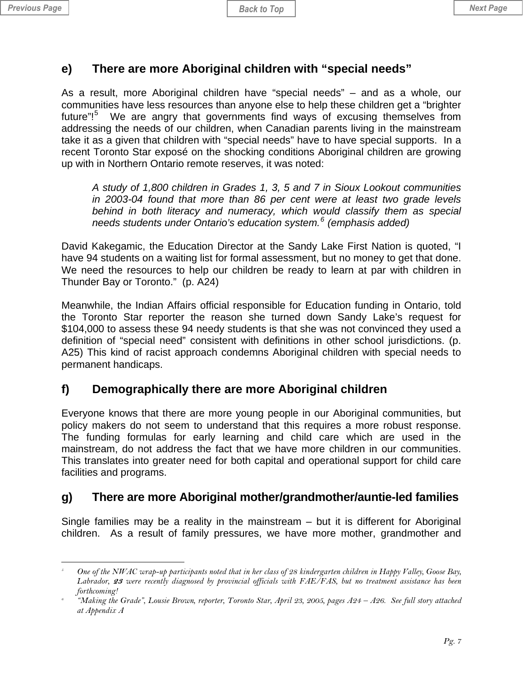#### <span id="page-6-0"></span>**e) There are more Aboriginal children with "special needs"**

As a result, more Aboriginal children have "special needs" – and as a whole, our communities have less resources than anyone else to help these children get a "brighter future"!<sup>[5](#page-6-1)</sup> We are angry that governments find ways of excusing themselves from addressing the needs of our children, when Canadian parents living in the mainstream take it as a given that children with "special needs" have to have special supports. In a recent Toronto Star exposé on the shocking conditions Aboriginal children are growing up with in Northern Ontario remote reserves, it was noted:

*A study of 1,800 children in Grades 1, 3, 5 and 7 in Sioux Lookout communities in 2003-04 found that more than 86 per cent were at least two grade levels behind in both literacy and numeracy, which would classify them as special needs students under Ontario's education system.[6](#page-6-2) (emphasis added)* 

David Kakegamic, the Education Director at the Sandy Lake First Nation is quoted, "I have 94 students on a waiting list for formal assessment, but no money to get that done. We need the resources to help our children be ready to learn at par with children in Thunder Bay or Toronto." (p. A24)

Meanwhile, the Indian Affairs official responsible for Education funding in Ontario, told the Toronto Star reporter the reason she turned down Sandy Lake's request for \$104,000 to assess these 94 needy students is that she was not convinced they used a definition of "special need" consistent with definitions in other school jurisdictions. (p. A25) This kind of racist approach condemns Aboriginal children with special needs to permanent handicaps.

## **f) Demographically there are more Aboriginal children**

Everyone knows that there are more young people in our Aboriginal communities, but policy makers do not seem to understand that this requires a more robust response. The funding formulas for early learning and child care which are used in the mainstream, do not address the fact that we have more children in our communities. This translates into greater need for both capital and operational support for child care facilities and programs.

## **g) There are more Aboriginal mother/grandmother/auntie-led families**

Single families may be a reality in the mainstream – but it is different for Aboriginal children. As a result of family pressures, we have more mother, grandmother and

<span id="page-6-1"></span> $\overline{a}$ *5 One of the NWAC wrap-up participants noted that in her class of 28 kindergarten children in Happy Valley, Goose Bay, Labrador,* **23** *were recently diagnosed by provincial officials with FAE/FAS, but no treatment assistance has been forthcoming! 6*

<span id="page-6-2"></span> *<sup>&</sup>quot;Making the Grade", Lousie Brown, reporter, Toronto Star, April 23, 2005, pages A24 – A26. See full story attached at Appendix A*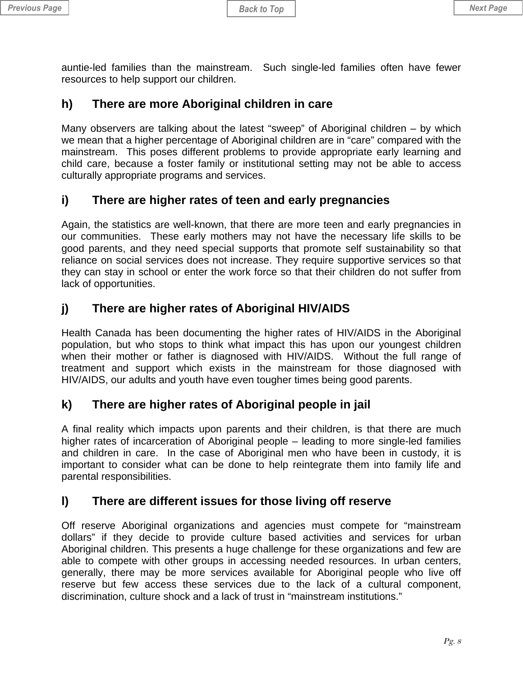<span id="page-7-0"></span>auntie-led families than the mainstream. Such single-led families often have fewer resources to help support our children.

## **h) There are more Aboriginal children in care**

Many observers are talking about the latest "sweep" of Aboriginal children – by which we mean that a higher percentage of Aboriginal children are in "care" compared with the mainstream. This poses different problems to provide appropriate early learning and child care, because a foster family or institutional setting may not be able to access culturally appropriate programs and services.

## **i) There are higher rates of teen and early pregnancies**

Again, the statistics are well-known, that there are more teen and early pregnancies in our communities. These early mothers may not have the necessary life skills to be good parents, and they need special supports that promote self sustainability so that reliance on social services does not increase. They require supportive services so that they can stay in school or enter the work force so that their children do not suffer from lack of opportunities.

## **j) There are higher rates of Aboriginal HIV/AIDS**

Health Canada has been documenting the higher rates of HIV/AIDS in the Aboriginal population, but who stops to think what impact this has upon our youngest children when their mother or father is diagnosed with HIV/AIDS. Without the full range of treatment and support which exists in the mainstream for those diagnosed with HIV/AIDS, our adults and youth have even tougher times being good parents.

## **k) There are higher rates of Aboriginal people in jail**

A final reality which impacts upon parents and their children, is that there are much higher rates of incarceration of Aboriginal people – leading to more single-led families and children in care. In the case of Aboriginal men who have been in custody, it is important to consider what can be done to help reintegrate them into family life and parental responsibilities.

## **l) There are different issues for those living off reserve**

Off reserve Aboriginal organizations and agencies must compete for "mainstream dollars" if they decide to provide culture based activities and services for urban Aboriginal children. This presents a huge challenge for these organizations and few are able to compete with other groups in accessing needed resources. In urban centers, generally, there may be more services available for Aboriginal people who live off reserve but few access these services due to the lack of a cultural component, discrimination, culture shock and a lack of trust in "mainstream institutions."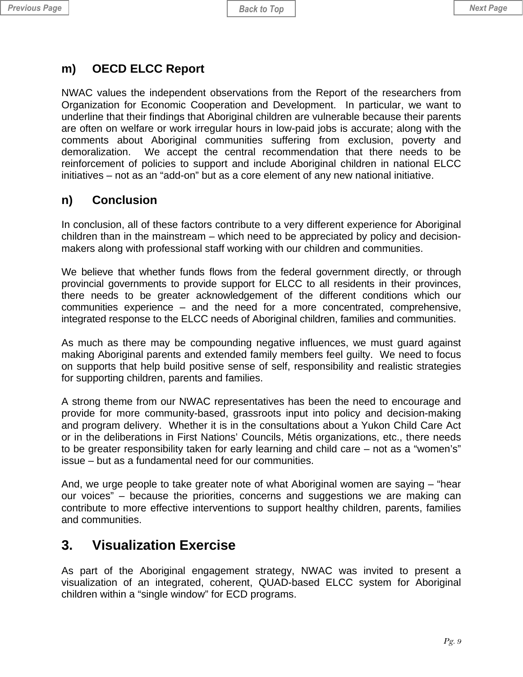#### <span id="page-8-0"></span>**m) OECD ELCC Report**

NWAC values the independent observations from the Report of the researchers from Organization for Economic Cooperation and Development. In particular, we want to underline that their findings that Aboriginal children are vulnerable because their parents are often on welfare or work irregular hours in low-paid jobs is accurate; along with the comments about Aboriginal communities suffering from exclusion, poverty and demoralization. We accept the central recommendation that there needs to be reinforcement of policies to support and include Aboriginal children in national ELCC initiatives – not as an "add-on" but as a core element of any new national initiative.

#### **n) Conclusion**

In conclusion, all of these factors contribute to a very different experience for Aboriginal children than in the mainstream – which need to be appreciated by policy and decisionmakers along with professional staff working with our children and communities.

We believe that whether funds flows from the federal government directly, or through provincial governments to provide support for ELCC to all residents in their provinces, there needs to be greater acknowledgement of the different conditions which our communities experience – and the need for a more concentrated, comprehensive, integrated response to the ELCC needs of Aboriginal children, families and communities.

As much as there may be compounding negative influences, we must guard against making Aboriginal parents and extended family members feel guilty. We need to focus on supports that help build positive sense of self, responsibility and realistic strategies for supporting children, parents and families.

A strong theme from our NWAC representatives has been the need to encourage and provide for more community-based, grassroots input into policy and decision-making and program delivery. Whether it is in the consultations about a Yukon Child Care Act or in the deliberations in First Nations' Councils, Métis organizations, etc., there needs to be greater responsibility taken for early learning and child care – not as a "women's" issue – but as a fundamental need for our communities.

And, we urge people to take greater note of what Aboriginal women are saying – "hear our voices" – because the priorities, concerns and suggestions we are making can contribute to more effective interventions to support healthy children, parents, families and communities.

## **3. Visualization Exercise**

As part of the Aboriginal engagement strategy, NWAC was invited to present a visualization of an integrated, coherent, QUAD-based ELCC system for Aboriginal children within a "single window" for ECD programs.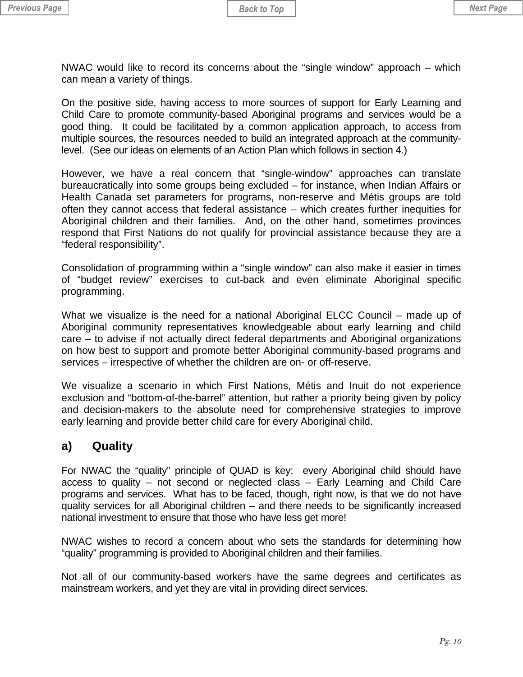<span id="page-9-0"></span>NWAC would like to record its concerns about the "single window" approach – which can mean a variety of things.

On the positive side, having access to more sources of support for Early Learning and Child Care to promote community-based Aboriginal programs and services would be a good thing. It could be facilitated by a common application approach, to access from multiple sources, the resources needed to build an integrated approach at the communitylevel. (See our ideas on elements of an Action Plan which follows in section 4.)

However, we have a real concern that "single-window" approaches can translate bureaucratically into some groups being excluded – for instance, when Indian Affairs or Health Canada set parameters for programs, non-reserve and Métis groups are told often they cannot access that federal assistance – which creates further inequities for Aboriginal children and their families. And, on the other hand, sometimes provinces respond that First Nations do not qualify for provincial assistance because they are a "federal responsibility".

Consolidation of programming within a "single window" can also make it easier in times of "budget review" exercises to cut-back and even eliminate Aboriginal specific programming.

What we visualize is the need for a national Aboriginal ELCC Council – made up of Aboriginal community representatives knowledgeable about early learning and child care – to advise if not actually direct federal departments and Aboriginal organizations on how best to support and promote better Aboriginal community-based programs and services – irrespective of whether the children are on- or off-reserve.

We visualize a scenario in which First Nations, Métis and Inuit do not experience exclusion and "bottom-of-the-barrel" attention, but rather a priority being given by policy and decision-makers to the absolute need for comprehensive strategies to improve early learning and provide better child care for every Aboriginal child.

#### **a) Quality**

For NWAC the "quality" principle of QUAD is key: every Aboriginal child should have access to quality – not second or neglected class – Early Learning and Child Care programs and services. What has to be faced, though, right now, is that we do not have quality services for all Aboriginal children – and there needs to be significantly increased national investment to ensure that those who have less get more!

NWAC wishes to record a concern about who sets the standards for determining how "quality" programming is provided to Aboriginal children and their families.

Not all of our community-based workers have the same degrees and certificates as mainstream workers, and yet they are vital in providing direct services.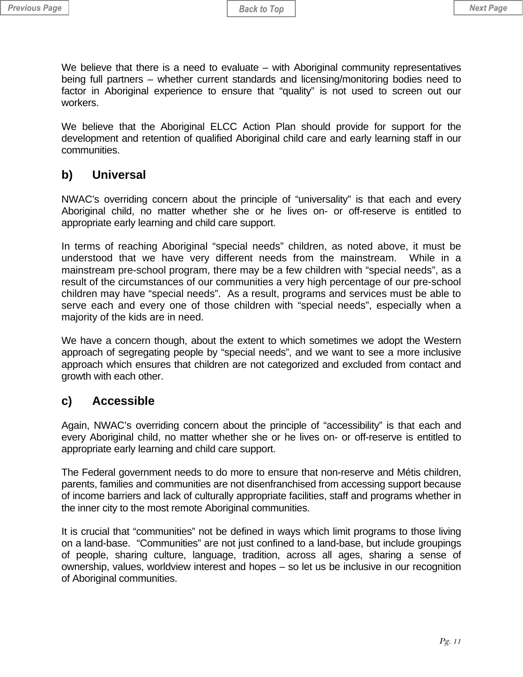<span id="page-10-0"></span>We believe that there is a need to evaluate – with Aboriginal community representatives being full partners – whether current standards and licensing/monitoring bodies need to factor in Aboriginal experience to ensure that "quality" is not used to screen out our workers.

We believe that the Aboriginal ELCC Action Plan should provide for support for the development and retention of qualified Aboriginal child care and early learning staff in our communities.

#### **b) Universal**

NWAC's overriding concern about the principle of "universality" is that each and every Aboriginal child, no matter whether she or he lives on- or off-reserve is entitled to appropriate early learning and child care support.

In terms of reaching Aboriginal "special needs" children, as noted above, it must be understood that we have very different needs from the mainstream. While in a mainstream pre-school program, there may be a few children with "special needs", as a result of the circumstances of our communities a very high percentage of our pre-school children may have "special needs". As a result, programs and services must be able to serve each and every one of those children with "special needs", especially when a majority of the kids are in need.

We have a concern though, about the extent to which sometimes we adopt the Western approach of segregating people by "special needs", and we want to see a more inclusive approach which ensures that children are not categorized and excluded from contact and growth with each other.

#### **c) Accessible**

Again, NWAC's overriding concern about the principle of "accessibility" is that each and every Aboriginal child, no matter whether she or he lives on- or off-reserve is entitled to appropriate early learning and child care support.

The Federal government needs to do more to ensure that non-reserve and Métis children, parents, families and communities are not disenfranchised from accessing support because of income barriers and lack of culturally appropriate facilities, staff and programs whether in the inner city to the most remote Aboriginal communities.

It is crucial that "communities" not be defined in ways which limit programs to those living on a land-base. "Communities" are not just confined to a land-base, but include groupings of people, sharing culture, language, tradition, across all ages, sharing a sense of ownership, values, worldview interest and hopes – so let us be inclusive in our recognition of Aboriginal communities.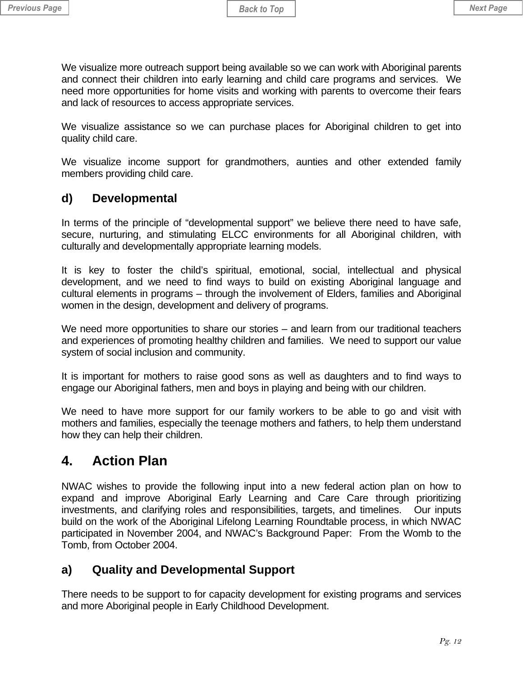<span id="page-11-0"></span>We visualize more outreach support being available so we can work with Aboriginal parents and connect their children into early learning and child care programs and services. We need more opportunities for home visits and working with parents to overcome their fears and lack of resources to access appropriate services.

We visualize assistance so we can purchase places for Aboriginal children to get into quality child care.

We visualize income support for grandmothers, aunties and other extended family members providing child care.

#### **d) Developmental**

In terms of the principle of "developmental support" we believe there need to have safe, secure, nurturing, and stimulating ELCC environments for all Aboriginal children, with culturally and developmentally appropriate learning models.

It is key to foster the child's spiritual, emotional, social, intellectual and physical development, and we need to find ways to build on existing Aboriginal language and cultural elements in programs – through the involvement of Elders, families and Aboriginal women in the design, development and delivery of programs.

We need more opportunities to share our stories – and learn from our traditional teachers and experiences of promoting healthy children and families. We need to support our value system of social inclusion and community.

It is important for mothers to raise good sons as well as daughters and to find ways to engage our Aboriginal fathers, men and boys in playing and being with our children.

We need to have more support for our family workers to be able to go and visit with mothers and families, especially the teenage mothers and fathers, to help them understand how they can help their children.

## **4. Action Plan**

NWAC wishes to provide the following input into a new federal action plan on how to expand and improve Aboriginal Early Learning and Care Care through prioritizing investments, and clarifying roles and responsibilities, targets, and timelines. Our inputs build on the work of the Aboriginal Lifelong Learning Roundtable process, in which NWAC participated in November 2004, and NWAC's Background Paper: From the Womb to the Tomb, from October 2004.

## **a) Quality and Developmental Support**

There needs to be support to for capacity development for existing programs and services and more Aboriginal people in Early Childhood Development.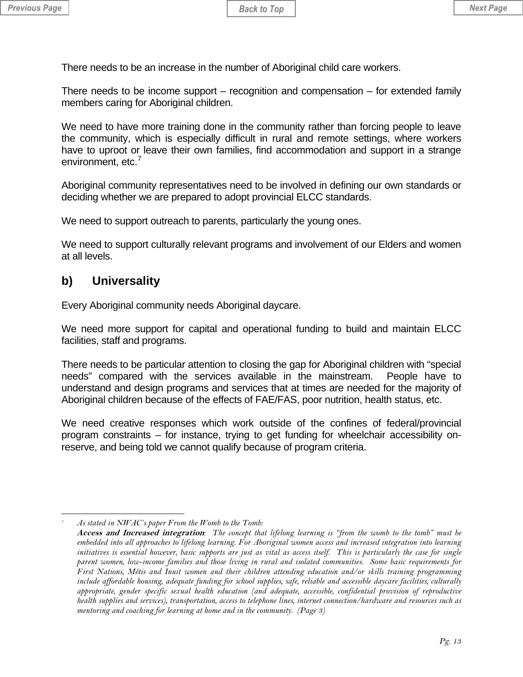<span id="page-12-0"></span>There needs to be an increase in the number of Aboriginal child care workers.

There needs to be income support – recognition and compensation – for extended family members caring for Aboriginal children.

We need to have more training done in the community rather than forcing people to leave the community, which is especially difficult in rural and remote settings, where workers have to uproot or leave their own families, find accommodation and support in a strange environment, etc.<sup>[7](#page-12-1)</sup>

Aboriginal community representatives need to be involved in defining our own standards or deciding whether we are prepared to adopt provincial ELCC standards.

We need to support outreach to parents, particularly the young ones.

We need to support culturally relevant programs and involvement of our Elders and women at all levels.

#### **b) Universality**

Every Aboriginal community needs Aboriginal daycare.

We need more support for capital and operational funding to build and maintain ELCC facilities, staff and programs.

There needs to be particular attention to closing the gap for Aboriginal children with "special needs" compared with the services available in the mainstream. People have to understand and design programs and services that at times are needed for the majority of Aboriginal children because of the effects of FAE/FAS, poor nutrition, health status, etc.

We need creative responses which work outside of the confines of federal/provincial program constraints – for instance, trying to get funding for wheelchair accessibility onreserve, and being told we cannot qualify because of program criteria.

<span id="page-12-1"></span> $\overline{a}$ *7 As stated in NWAC's paper From the Womb to the Tomb:* 

**Access and Increased integration***: The concept that lifelong learning is "from the womb to the tomb" must be embedded into all approaches to lifelong learning. For Aboriginal women access and increased integration into learning initiatives is essential however, basic supports are just as vital as access itself. This is particularly the case for single parent women, low-income families and those living in rural and isolated communities. Some basic requirements for First Nations, Métis and Inuit women and their children attending education and/or skills training programming include affordable housing, adequate funding for school supplies, safe, reliable and accessible daycare facilities, culturally appropriate, gender specific sexual health education (and adequate, accessible, confidential provision of reproductive health supplies and services), transportation, access to telephone lines, internet connection/hardware and resources such as mentoring and coaching for learning at home and in the community. (Page 3)*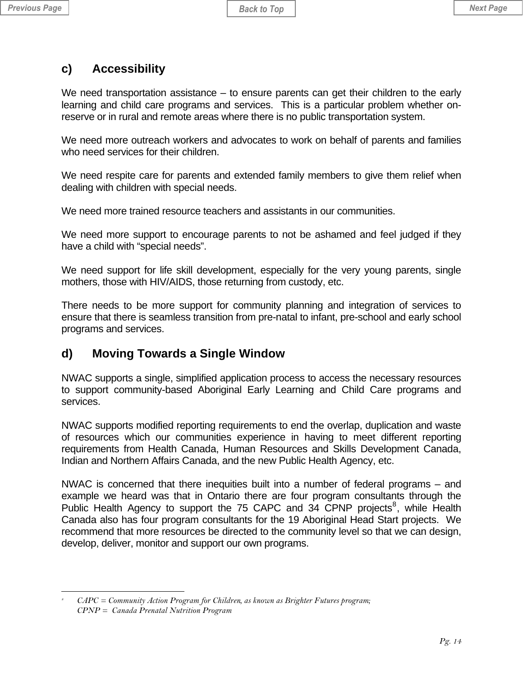#### <span id="page-13-0"></span>**c) Accessibility**

We need transportation assistance – to ensure parents can get their children to the early learning and child care programs and services. This is a particular problem whether onreserve or in rural and remote areas where there is no public transportation system.

We need more outreach workers and advocates to work on behalf of parents and families who need services for their children.

We need respite care for parents and extended family members to give them relief when dealing with children with special needs.

We need more trained resource teachers and assistants in our communities.

We need more support to encourage parents to not be ashamed and feel judged if they have a child with "special needs".

We need support for life skill development, especially for the very young parents, single mothers, those with HIV/AIDS, those returning from custody, etc.

There needs to be more support for community planning and integration of services to ensure that there is seamless transition from pre-natal to infant, pre-school and early school programs and services.

## **d) Moving Towards a Single Window**

NWAC supports a single, simplified application process to access the necessary resources to support community-based Aboriginal Early Learning and Child Care programs and services.

NWAC supports modified reporting requirements to end the overlap, duplication and waste of resources which our communities experience in having to meet different reporting requirements from Health Canada, Human Resources and Skills Development Canada, Indian and Northern Affairs Canada, and the new Public Health Agency, etc.

NWAC is concerned that there inequities built into a number of federal programs – and example we heard was that in Ontario there are four program consultants through the Public Health Agency to support the 75 CAPC and  $34$  CPNP projects<sup>[8](#page-13-1)</sup>, while Health Canada also has four program consultants for the 19 Aboriginal Head Start projects. We recommend that more resources be directed to the community level so that we can design, develop, deliver, monitor and support our own programs.

<span id="page-13-1"></span> $\overline{a}$ *8 CAPC = Community Action Program for Children, as known as Brighter Futures program; CPNP = Canada Prenatal Nutrition Program*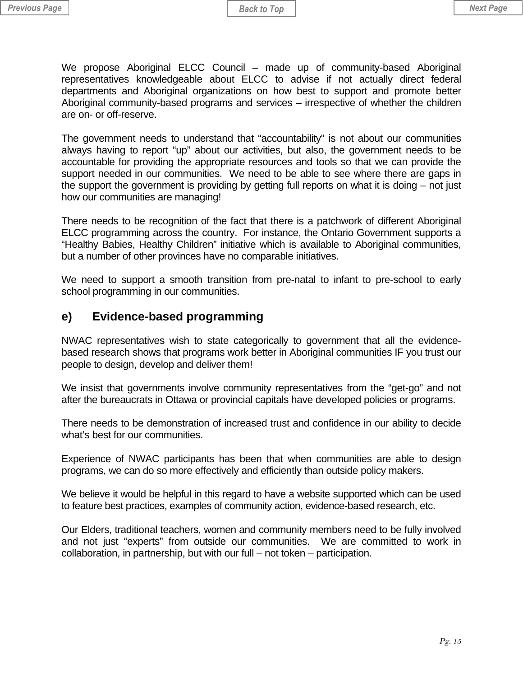<span id="page-14-0"></span>We propose Aboriginal ELCC Council – made up of community-based Aboriginal representatives knowledgeable about ELCC to advise if not actually direct federal departments and Aboriginal organizations on how best to support and promote better Aboriginal community-based programs and services – irrespective of whether the children are on- or off-reserve.

The government needs to understand that "accountability" is not about our communities always having to report "up" about our activities, but also, the government needs to be accountable for providing the appropriate resources and tools so that we can provide the support needed in our communities. We need to be able to see where there are gaps in the support the government is providing by getting full reports on what it is doing – not just how our communities are managing!

There needs to be recognition of the fact that there is a patchwork of different Aboriginal ELCC programming across the country. For instance, the Ontario Government supports a "Healthy Babies, Healthy Children" initiative which is available to Aboriginal communities, but a number of other provinces have no comparable initiatives.

We need to support a smooth transition from pre-natal to infant to pre-school to early school programming in our communities.

#### **e) Evidence-based programming**

NWAC representatives wish to state categorically to government that all the evidencebased research shows that programs work better in Aboriginal communities IF you trust our people to design, develop and deliver them!

We insist that governments involve community representatives from the "get-go" and not after the bureaucrats in Ottawa or provincial capitals have developed policies or programs.

There needs to be demonstration of increased trust and confidence in our ability to decide what's best for our communities.

Experience of NWAC participants has been that when communities are able to design programs, we can do so more effectively and efficiently than outside policy makers.

We believe it would be helpful in this regard to have a website supported which can be used to feature best practices, examples of community action, evidence-based research, etc.

Our Elders, traditional teachers, women and community members need to be fully involved and not just "experts" from outside our communities. We are committed to work in collaboration, in partnership, but with our full – not token – participation.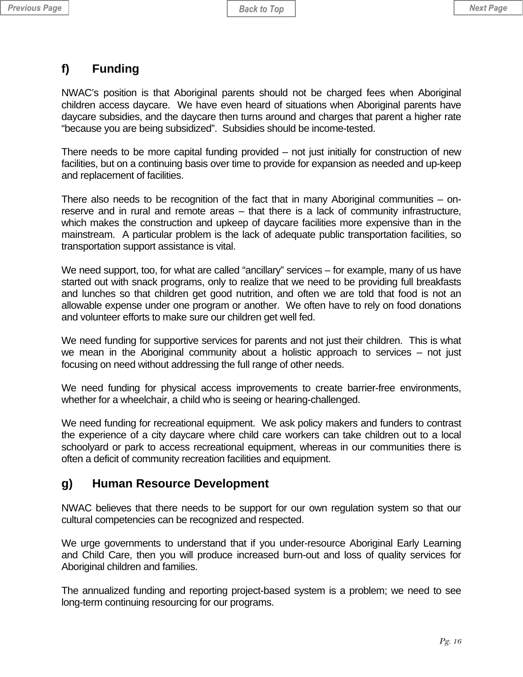## <span id="page-15-0"></span>**f) Funding**

NWAC's position is that Aboriginal parents should not be charged fees when Aboriginal children access daycare. We have even heard of situations when Aboriginal parents have daycare subsidies, and the daycare then turns around and charges that parent a higher rate "because you are being subsidized". Subsidies should be income-tested.

There needs to be more capital funding provided – not just initially for construction of new facilities, but on a continuing basis over time to provide for expansion as needed and up-keep and replacement of facilities.

There also needs to be recognition of the fact that in many Aboriginal communities – onreserve and in rural and remote areas – that there is a lack of community infrastructure, which makes the construction and upkeep of daycare facilities more expensive than in the mainstream. A particular problem is the lack of adequate public transportation facilities, so transportation support assistance is vital.

We need support, too, for what are called "ancillary" services – for example, many of us have started out with snack programs, only to realize that we need to be providing full breakfasts and lunches so that children get good nutrition, and often we are told that food is not an allowable expense under one program or another. We often have to rely on food donations and volunteer efforts to make sure our children get well fed.

We need funding for supportive services for parents and not just their children. This is what we mean in the Aboriginal community about a holistic approach to services – not just focusing on need without addressing the full range of other needs.

We need funding for physical access improvements to create barrier-free environments, whether for a wheelchair, a child who is seeing or hearing-challenged.

We need funding for recreational equipment. We ask policy makers and funders to contrast the experience of a city daycare where child care workers can take children out to a local schoolyard or park to access recreational equipment, whereas in our communities there is often a deficit of community recreation facilities and equipment.

## **g) Human Resource Development**

NWAC believes that there needs to be support for our own regulation system so that our cultural competencies can be recognized and respected.

We urge governments to understand that if you under-resource Aboriginal Early Learning and Child Care, then you will produce increased burn-out and loss of quality services for Aboriginal children and families.

The annualized funding and reporting project-based system is a problem; we need to see long-term continuing resourcing for our programs.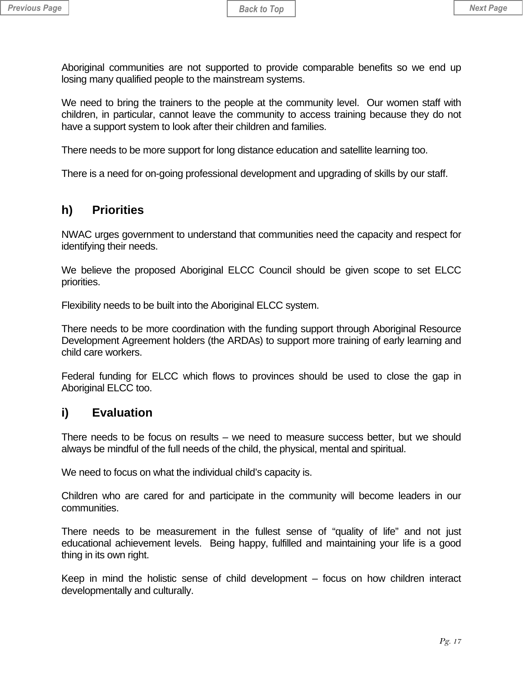<span id="page-16-0"></span>Aboriginal communities are not supported to provide comparable benefits so we end up losing many qualified people to the mainstream systems.

We need to bring the trainers to the people at the community level. Our women staff with children, in particular, cannot leave the community to access training because they do not have a support system to look after their children and families.

There needs to be more support for long distance education and satellite learning too.

There is a need for on-going professional development and upgrading of skills by our staff.

#### **h) Priorities**

NWAC urges government to understand that communities need the capacity and respect for identifying their needs.

We believe the proposed Aboriginal ELCC Council should be given scope to set ELCC priorities.

Flexibility needs to be built into the Aboriginal ELCC system.

There needs to be more coordination with the funding support through Aboriginal Resource Development Agreement holders (the ARDAs) to support more training of early learning and child care workers.

Federal funding for ELCC which flows to provinces should be used to close the gap in Aboriginal ELCC too.

#### **i) Evaluation**

There needs to be focus on results – we need to measure success better, but we should always be mindful of the full needs of the child, the physical, mental and spiritual.

We need to focus on what the individual child's capacity is.

Children who are cared for and participate in the community will become leaders in our communities.

There needs to be measurement in the fullest sense of "quality of life" and not just educational achievement levels. Being happy, fulfilled and maintaining your life is a good thing in its own right.

Keep in mind the holistic sense of child development – focus on how children interact developmentally and culturally.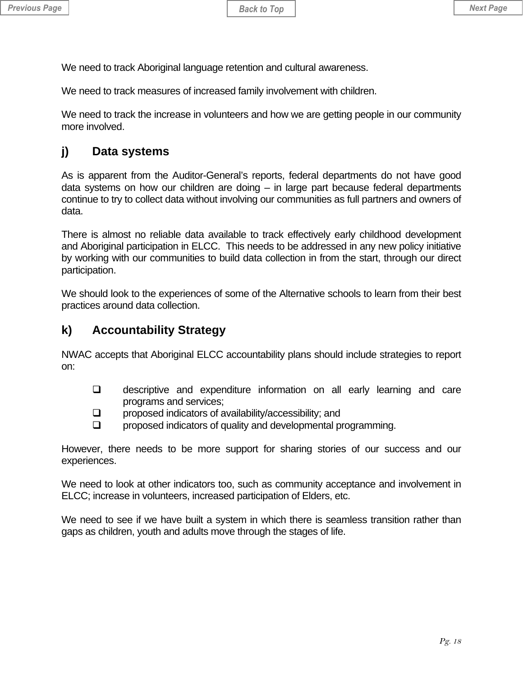<span id="page-17-0"></span>We need to track Aboriginal language retention and cultural awareness.

We need to track measures of increased family involvement with children.

We need to track the increase in volunteers and how we are getting people in our community more involved.

## **j) Data systems**

As is apparent from the Auditor-General's reports, federal departments do not have good data systems on how our children are doing – in large part because federal departments continue to try to collect data without involving our communities as full partners and owners of data.

There is almost no reliable data available to track effectively early childhood development and Aboriginal participation in ELCC. This needs to be addressed in any new policy initiative by working with our communities to build data collection in from the start, through our direct participation.

We should look to the experiences of some of the Alternative schools to learn from their best practices around data collection.

## **k) Accountability Strategy**

NWAC accepts that Aboriginal ELCC accountability plans should include strategies to report on:

- **Q** descriptive and expenditure information on all early learning and care programs and services;
- **Q** proposed indicators of availability/accessibility; and
- $\Box$  proposed indicators of quality and developmental programming.

However, there needs to be more support for sharing stories of our success and our experiences.

We need to look at other indicators too, such as community acceptance and involvement in ELCC; increase in volunteers, increased participation of Elders, etc.

We need to see if we have built a system in which there is seamless transition rather than gaps as children, youth and adults move through the stages of life.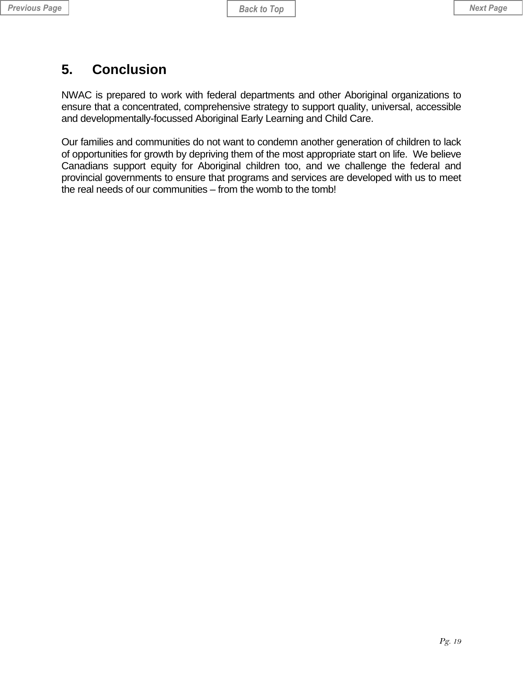## <span id="page-18-0"></span>**5. Conclusion**

NWAC is prepared to work with federal departments and other Aboriginal organizations to ensure that a concentrated, comprehensive strategy to support quality, universal, accessible and developmentally-focussed Aboriginal Early Learning and Child Care.

Our families and communities do not want to condemn another generation of children to lack of opportunities for growth by depriving them of the most appropriate start on life. We believe Canadians support equity for Aboriginal children too, and we challenge the federal and provincial governments to ensure that programs and services are developed with us to meet the real needs of our communities – from the womb to the tomb!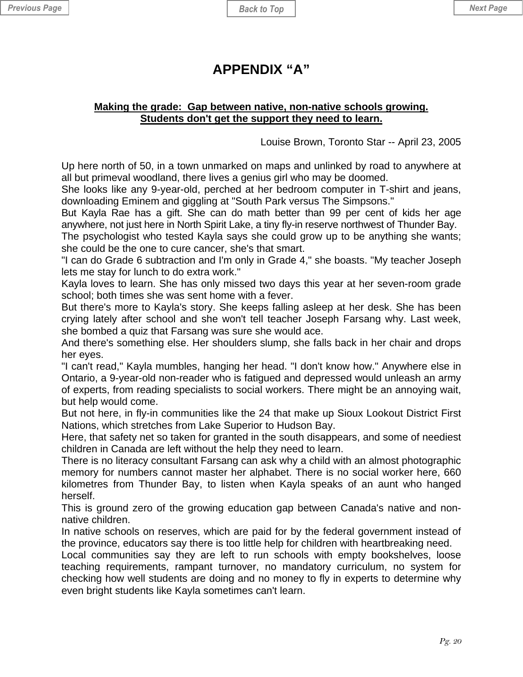## **APPENDIX "A"**

#### <span id="page-19-0"></span>**Making the grade: Gap between native, non-native schools growing. Students don't get the support they need to learn.**

Louise Brown, Toronto Star -- April 23, 2005

Up here north of 50, in a town unmarked on maps and unlinked by road to anywhere at all but primeval woodland, there lives a genius girl who may be doomed.

She looks like any 9-year-old, perched at her bedroom computer in T-shirt and jeans, downloading Eminem and giggling at "South Park versus The Simpsons."

But Kayla Rae has a gift. She can do math better than 99 per cent of kids her age anywhere, not just here in North Spirit Lake, a tiny fly-in reserve northwest of Thunder Bay.

The psychologist who tested Kayla says she could grow up to be anything she wants; she could be the one to cure cancer, she's that smart.

"I can do Grade 6 subtraction and I'm only in Grade 4," she boasts. "My teacher Joseph lets me stay for lunch to do extra work."

Kayla loves to learn. She has only missed two days this year at her seven-room grade school; both times she was sent home with a fever.

But there's more to Kayla's story. She keeps falling asleep at her desk. She has been crying lately after school and she won't tell teacher Joseph Farsang why. Last week, she bombed a quiz that Farsang was sure she would ace.

And there's something else. Her shoulders slump, she falls back in her chair and drops her eyes.

"I can't read," Kayla mumbles, hanging her head. "I don't know how." Anywhere else in Ontario, a 9-year-old non-reader who is fatigued and depressed would unleash an army of experts, from reading specialists to social workers. There might be an annoying wait, but help would come.

But not here, in fly-in communities like the 24 that make up Sioux Lookout District First Nations, which stretches from Lake Superior to Hudson Bay.

Here, that safety net so taken for granted in the south disappears, and some of neediest children in Canada are left without the help they need to learn.

There is no literacy consultant Farsang can ask why a child with an almost photographic memory for numbers cannot master her alphabet. There is no social worker here, 660 kilometres from Thunder Bay, to listen when Kayla speaks of an aunt who hanged herself.

This is ground zero of the growing education gap between Canada's native and nonnative children.

In native schools on reserves, which are paid for by the federal government instead of the province, educators say there is too little help for children with heartbreaking need.

Local communities say they are left to run schools with empty bookshelves, loose teaching requirements, rampant turnover, no mandatory curriculum, no system for checking how well students are doing and no money to fly in experts to determine why even bright students like Kayla sometimes can't learn.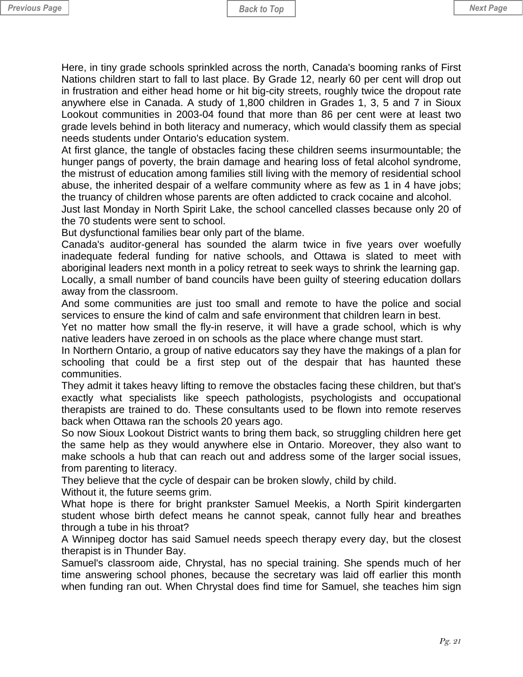Here, in tiny grade schools sprinkled across the north, Canada's booming ranks of First Nations children start to fall to last place. By Grade 12, nearly 60 per cent will drop out in frustration and either head home or hit big-city streets, roughly twice the dropout rate anywhere else in Canada. A study of 1,800 children in Grades 1, 3, 5 and 7 in Sioux Lookout communities in 2003-04 found that more than 86 per cent were at least two grade levels behind in both literacy and numeracy, which would classify them as special needs students under Ontario's education system.

At first glance, the tangle of obstacles facing these children seems insurmountable; the hunger pangs of poverty, the brain damage and hearing loss of fetal alcohol syndrome, the mistrust of education among families still living with the memory of residential school abuse, the inherited despair of a welfare community where as few as 1 in 4 have jobs; the truancy of children whose parents are often addicted to crack cocaine and alcohol.

Just last Monday in North Spirit Lake, the school cancelled classes because only 20 of the 70 students were sent to school.

But dysfunctional families bear only part of the blame.

Canada's auditor-general has sounded the alarm twice in five years over woefully inadequate federal funding for native schools, and Ottawa is slated to meet with aboriginal leaders next month in a policy retreat to seek ways to shrink the learning gap. Locally, a small number of band councils have been guilty of steering education dollars away from the classroom.

And some communities are just too small and remote to have the police and social services to ensure the kind of calm and safe environment that children learn in best.

Yet no matter how small the fly-in reserve, it will have a grade school, which is why native leaders have zeroed in on schools as the place where change must start.

In Northern Ontario, a group of native educators say they have the makings of a plan for schooling that could be a first step out of the despair that has haunted these communities.

They admit it takes heavy lifting to remove the obstacles facing these children, but that's exactly what specialists like speech pathologists, psychologists and occupational therapists are trained to do. These consultants used to be flown into remote reserves back when Ottawa ran the schools 20 years ago.

So now Sioux Lookout District wants to bring them back, so struggling children here get the same help as they would anywhere else in Ontario. Moreover, they also want to make schools a hub that can reach out and address some of the larger social issues, from parenting to literacy.

They believe that the cycle of despair can be broken slowly, child by child.

Without it, the future seems grim.

What hope is there for bright prankster Samuel Meekis, a North Spirit kindergarten student whose birth defect means he cannot speak, cannot fully hear and breathes through a tube in his throat?

A Winnipeg doctor has said Samuel needs speech therapy every day, but the closest therapist is in Thunder Bay.

Samuel's classroom aide, Chrystal, has no special training. She spends much of her time answering school phones, because the secretary was laid off earlier this month when funding ran out. When Chrystal does find time for Samuel, she teaches him sign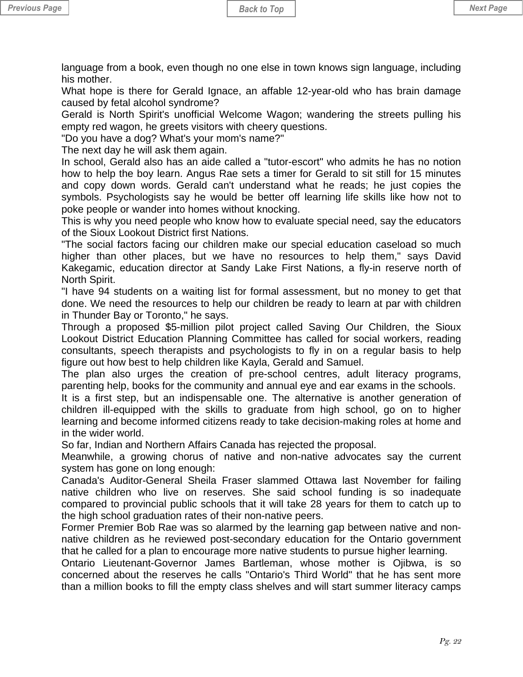language from a book, even though no one else in town knows sign language, including his mother.

What hope is there for Gerald Ignace, an affable 12-year-old who has brain damage caused by fetal alcohol syndrome?

Gerald is North Spirit's unofficial Welcome Wagon; wandering the streets pulling his empty red wagon, he greets visitors with cheery questions.

"Do you have a dog? What's your mom's name?"

The next day he will ask them again.

In school, Gerald also has an aide called a "tutor-escort" who admits he has no notion how to help the boy learn. Angus Rae sets a timer for Gerald to sit still for 15 minutes and copy down words. Gerald can't understand what he reads; he just copies the symbols. Psychologists say he would be better off learning life skills like how not to poke people or wander into homes without knocking.

This is why you need people who know how to evaluate special need, say the educators of the Sioux Lookout District first Nations.

"The social factors facing our children make our special education caseload so much higher than other places, but we have no resources to help them," says David Kakegamic, education director at Sandy Lake First Nations, a fly-in reserve north of North Spirit.

"I have 94 students on a waiting list for formal assessment, but no money to get that done. We need the resources to help our children be ready to learn at par with children in Thunder Bay or Toronto," he says.

Through a proposed \$5-million pilot project called Saving Our Children, the Sioux Lookout District Education Planning Committee has called for social workers, reading consultants, speech therapists and psychologists to fly in on a regular basis to help figure out how best to help children like Kayla, Gerald and Samuel.

The plan also urges the creation of pre-school centres, adult literacy programs, parenting help, books for the community and annual eye and ear exams in the schools.

It is a first step, but an indispensable one. The alternative is another generation of children ill-equipped with the skills to graduate from high school, go on to higher learning and become informed citizens ready to take decision-making roles at home and in the wider world.

So far, Indian and Northern Affairs Canada has rejected the proposal.

Meanwhile, a growing chorus of native and non-native advocates say the current system has gone on long enough:

Canada's Auditor-General Sheila Fraser slammed Ottawa last November for failing native children who live on reserves. She said school funding is so inadequate compared to provincial public schools that it will take 28 years for them to catch up to the high school graduation rates of their non-native peers.

Former Premier Bob Rae was so alarmed by the learning gap between native and nonnative children as he reviewed post-secondary education for the Ontario government that he called for a plan to encourage more native students to pursue higher learning.

Ontario Lieutenant-Governor James Bartleman, whose mother is Ojibwa, is so concerned about the reserves he calls "Ontario's Third World" that he has sent more than a million books to fill the empty class shelves and will start summer literacy camps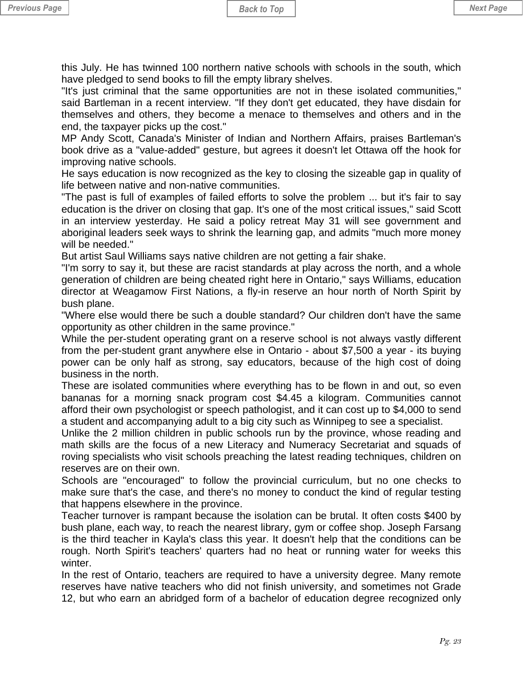this July. He has twinned 100 northern native schools with schools in the south, which have pledged to send books to fill the empty library shelves.

"It's just criminal that the same opportunities are not in these isolated communities," said Bartleman in a recent interview. "If they don't get educated, they have disdain for themselves and others, they become a menace to themselves and others and in the end, the taxpayer picks up the cost."

MP Andy Scott, Canada's Minister of Indian and Northern Affairs, praises Bartleman's book drive as a "value-added" gesture, but agrees it doesn't let Ottawa off the hook for improving native schools.

He says education is now recognized as the key to closing the sizeable gap in quality of life between native and non-native communities.

"The past is full of examples of failed efforts to solve the problem ... but it's fair to say education is the driver on closing that gap. It's one of the most critical issues," said Scott in an interview yesterday. He said a policy retreat May 31 will see government and aboriginal leaders seek ways to shrink the learning gap, and admits "much more money will be needed."

But artist Saul Williams says native children are not getting a fair shake.

"I'm sorry to say it, but these are racist standards at play across the north, and a whole generation of children are being cheated right here in Ontario," says Williams, education director at Weagamow First Nations, a fly-in reserve an hour north of North Spirit by bush plane.

"Where else would there be such a double standard? Our children don't have the same opportunity as other children in the same province."

While the per-student operating grant on a reserve school is not always vastly different from the per-student grant anywhere else in Ontario - about \$7,500 a year - its buying power can be only half as strong, say educators, because of the high cost of doing business in the north.

These are isolated communities where everything has to be flown in and out, so even bananas for a morning snack program cost \$4.45 a kilogram. Communities cannot afford their own psychologist or speech pathologist, and it can cost up to \$4,000 to send a student and accompanying adult to a big city such as Winnipeg to see a specialist.

Unlike the 2 million children in public schools run by the province, whose reading and math skills are the focus of a new Literacy and Numeracy Secretariat and squads of roving specialists who visit schools preaching the latest reading techniques, children on reserves are on their own.

Schools are "encouraged" to follow the provincial curriculum, but no one checks to make sure that's the case, and there's no money to conduct the kind of regular testing that happens elsewhere in the province.

Teacher turnover is rampant because the isolation can be brutal. It often costs \$400 by bush plane, each way, to reach the nearest library, gym or coffee shop. Joseph Farsang is the third teacher in Kayla's class this year. It doesn't help that the conditions can be rough. North Spirit's teachers' quarters had no heat or running water for weeks this winter.

In the rest of Ontario, teachers are required to have a university degree. Many remote reserves have native teachers who did not finish university, and sometimes not Grade 12, but who earn an abridged form of a bachelor of education degree recognized only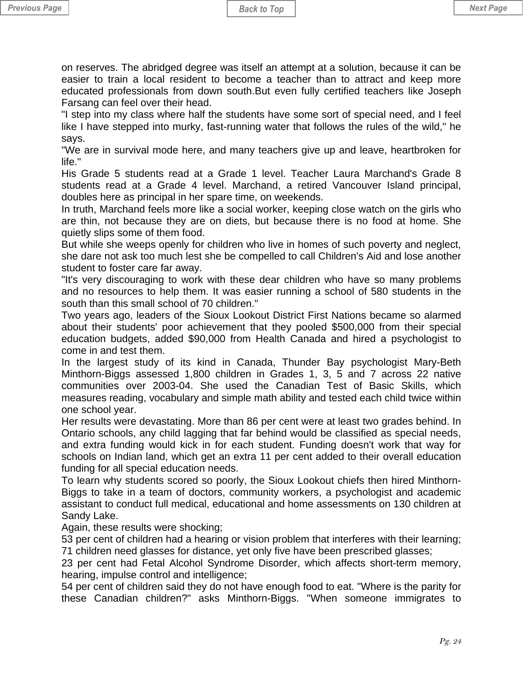on reserves. The abridged degree was itself an attempt at a solution, because it can be easier to train a local resident to become a teacher than to attract and keep more educated professionals from down south.But even fully certified teachers like Joseph Farsang can feel over their head.

"I step into my class where half the students have some sort of special need, and I feel like I have stepped into murky, fast-running water that follows the rules of the wild," he says.

"We are in survival mode here, and many teachers give up and leave, heartbroken for life."

His Grade 5 students read at a Grade 1 level. Teacher Laura Marchand's Grade 8 students read at a Grade 4 level. Marchand, a retired Vancouver Island principal, doubles here as principal in her spare time, on weekends.

In truth, Marchand feels more like a social worker, keeping close watch on the girls who are thin, not because they are on diets, but because there is no food at home. She quietly slips some of them food.

But while she weeps openly for children who live in homes of such poverty and neglect, she dare not ask too much lest she be compelled to call Children's Aid and lose another student to foster care far away.

"It's very discouraging to work with these dear children who have so many problems and no resources to help them. It was easier running a school of 580 students in the south than this small school of 70 children."

Two years ago, leaders of the Sioux Lookout District First Nations became so alarmed about their students' poor achievement that they pooled \$500,000 from their special education budgets, added \$90,000 from Health Canada and hired a psychologist to come in and test them.

In the largest study of its kind in Canada, Thunder Bay psychologist Mary-Beth Minthorn-Biggs assessed 1,800 children in Grades 1, 3, 5 and 7 across 22 native communities over 2003-04. She used the Canadian Test of Basic Skills, which measures reading, vocabulary and simple math ability and tested each child twice within one school year.

Her results were devastating. More than 86 per cent were at least two grades behind. In Ontario schools, any child lagging that far behind would be classified as special needs, and extra funding would kick in for each student. Funding doesn't work that way for schools on Indian land, which get an extra 11 per cent added to their overall education funding for all special education needs.

To learn why students scored so poorly, the Sioux Lookout chiefs then hired Minthorn-Biggs to take in a team of doctors, community workers, a psychologist and academic assistant to conduct full medical, educational and home assessments on 130 children at Sandy Lake.

Again, these results were shocking;

53 per cent of children had a hearing or vision problem that interferes with their learning; 71 children need glasses for distance, yet only five have been prescribed glasses;

23 per cent had Fetal Alcohol Syndrome Disorder, which affects short-term memory, hearing, impulse control and intelligence;

54 per cent of children said they do not have enough food to eat. "Where is the parity for these Canadian children?" asks Minthorn-Biggs. "When someone immigrates to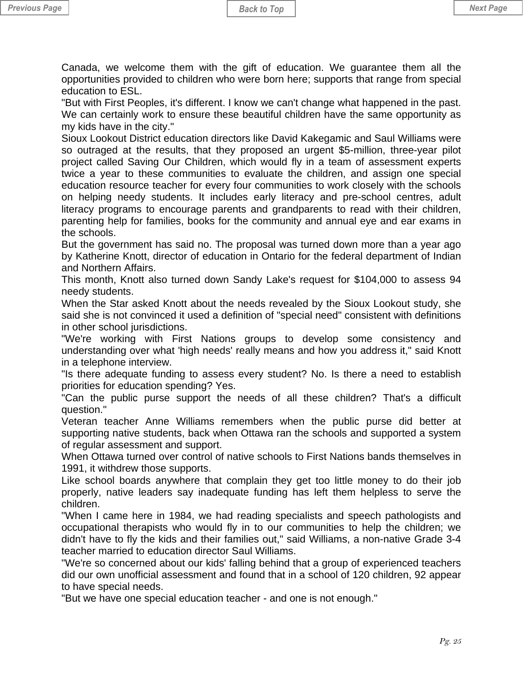Canada, we welcome them with the gift of education. We guarantee them all the opportunities provided to children who were born here; supports that range from special education to ESL.

"But with First Peoples, it's different. I know we can't change what happened in the past. We can certainly work to ensure these beautiful children have the same opportunity as my kids have in the city."

Sioux Lookout District education directors like David Kakegamic and Saul Williams were so outraged at the results, that they proposed an urgent \$5-million, three-year pilot project called Saving Our Children, which would fly in a team of assessment experts twice a year to these communities to evaluate the children, and assign one special education resource teacher for every four communities to work closely with the schools on helping needy students. It includes early literacy and pre-school centres, adult literacy programs to encourage parents and grandparents to read with their children, parenting help for families, books for the community and annual eye and ear exams in the schools.

But the government has said no. The proposal was turned down more than a year ago by Katherine Knott, director of education in Ontario for the federal department of Indian and Northern Affairs.

This month, Knott also turned down Sandy Lake's request for \$104,000 to assess 94 needy students.

When the Star asked Knott about the needs revealed by the Sioux Lookout study, she said she is not convinced it used a definition of "special need" consistent with definitions in other school jurisdictions.

"We're working with First Nations groups to develop some consistency and understanding over what 'high needs' really means and how you address it," said Knott in a telephone interview.

"Is there adequate funding to assess every student? No. Is there a need to establish priorities for education spending? Yes.

"Can the public purse support the needs of all these children? That's a difficult question."

Veteran teacher Anne Williams remembers when the public purse did better at supporting native students, back when Ottawa ran the schools and supported a system of regular assessment and support.

When Ottawa turned over control of native schools to First Nations bands themselves in 1991, it withdrew those supports.

Like school boards anywhere that complain they get too little money to do their job properly, native leaders say inadequate funding has left them helpless to serve the children.

"When I came here in 1984, we had reading specialists and speech pathologists and occupational therapists who would fly in to our communities to help the children; we didn't have to fly the kids and their families out," said Williams, a non-native Grade 3-4 teacher married to education director Saul Williams.

"We're so concerned about our kids' falling behind that a group of experienced teachers did our own unofficial assessment and found that in a school of 120 children, 92 appear to have special needs.

"But we have one special education teacher - and one is not enough."